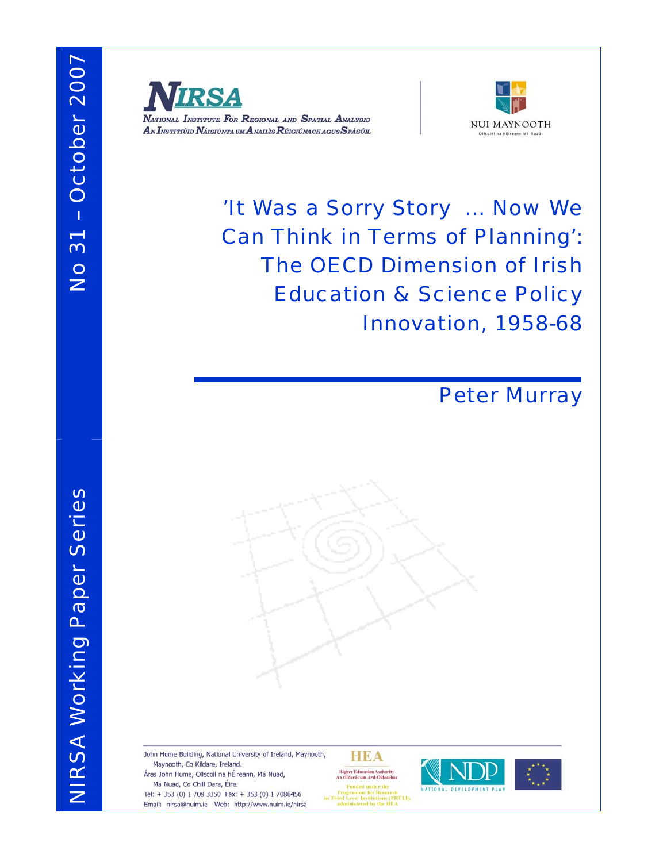



'It Was a Sorry Story … Now We Can Think in Terms of Planning': The OECD Dimension of Irish Education & Science Policy Innovation, 1958-68



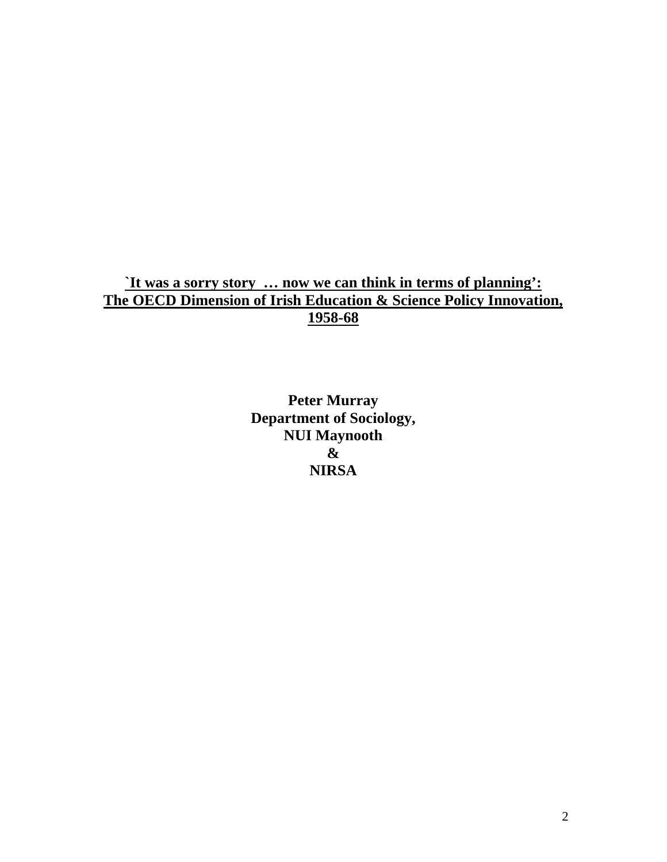## **`It was a sorry story … now we can think in terms of planning': The OECD Dimension of Irish Education & Science Policy Innovation, 1958-68**

**Peter Murray Department of Sociology, NUI Maynooth & NIRSA**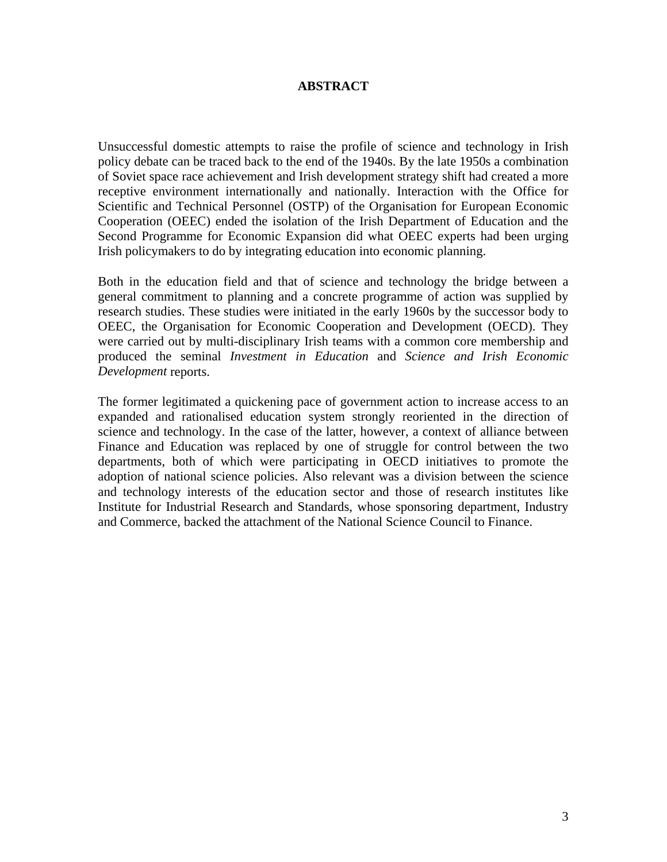#### **ABSTRACT**

Unsuccessful domestic attempts to raise the profile of science and technology in Irish policy debate can be traced back to the end of the 1940s. By the late 1950s a combination of Soviet space race achievement and Irish development strategy shift had created a more receptive environment internationally and nationally. Interaction with the Office for Scientific and Technical Personnel (OSTP) of the Organisation for European Economic Cooperation (OEEC) ended the isolation of the Irish Department of Education and the Second Programme for Economic Expansion did what OEEC experts had been urging Irish policymakers to do by integrating education into economic planning.

Both in the education field and that of science and technology the bridge between a general commitment to planning and a concrete programme of action was supplied by research studies. These studies were initiated in the early 1960s by the successor body to OEEC, the Organisation for Economic Cooperation and Development (OECD). They were carried out by multi-disciplinary Irish teams with a common core membership and produced the seminal *Investment in Education* and *Science and Irish Economic Development* reports.

The former legitimated a quickening pace of government action to increase access to an expanded and rationalised education system strongly reoriented in the direction of science and technology. In the case of the latter, however, a context of alliance between Finance and Education was replaced by one of struggle for control between the two departments, both of which were participating in OECD initiatives to promote the adoption of national science policies. Also relevant was a division between the science and technology interests of the education sector and those of research institutes like Institute for Industrial Research and Standards, whose sponsoring department, Industry and Commerce, backed the attachment of the National Science Council to Finance.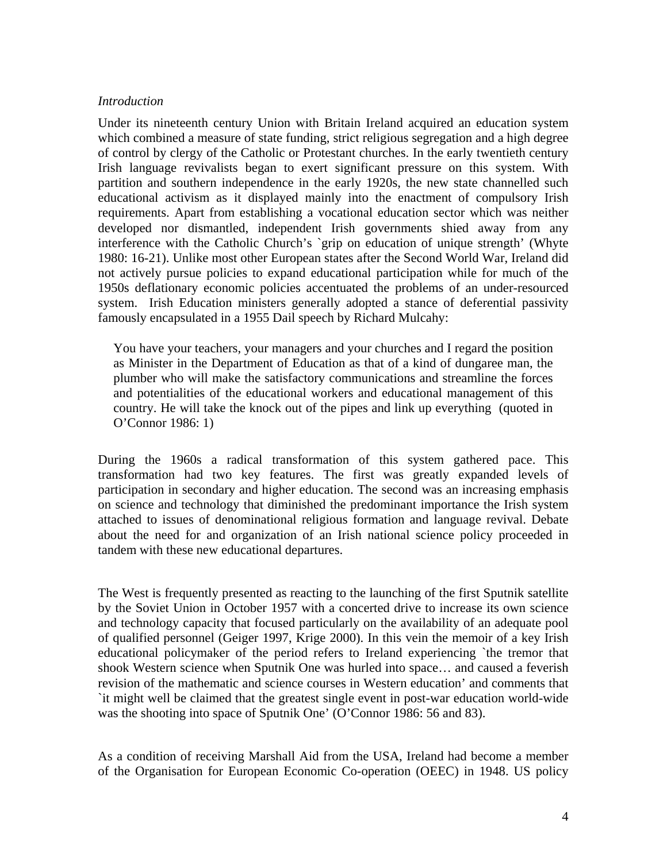#### *Introduction*

Under its nineteenth century Union with Britain Ireland acquired an education system which combined a measure of state funding, strict religious segregation and a high degree of control by clergy of the Catholic or Protestant churches. In the early twentieth century Irish language revivalists began to exert significant pressure on this system. With partition and southern independence in the early 1920s, the new state channelled such educational activism as it displayed mainly into the enactment of compulsory Irish requirements. Apart from establishing a vocational education sector which was neither developed nor dismantled, independent Irish governments shied away from any interference with the Catholic Church's `grip on education of unique strength' (Whyte 1980: 16-21). Unlike most other European states after the Second World War, Ireland did not actively pursue policies to expand educational participation while for much of the 1950s deflationary economic policies accentuated the problems of an under-resourced system. Irish Education ministers generally adopted a stance of deferential passivity famously encapsulated in a 1955 Dail speech by Richard Mulcahy:

You have your teachers, your managers and your churches and I regard the position as Minister in the Department of Education as that of a kind of dungaree man, the plumber who will make the satisfactory communications and streamline the forces and potentialities of the educational workers and educational management of this country. He will take the knock out of the pipes and link up everything (quoted in O'Connor 1986: 1)

During the 1960s a radical transformation of this system gathered pace. This transformation had two key features. The first was greatly expanded levels of participation in secondary and higher education. The second was an increasing emphasis on science and technology that diminished the predominant importance the Irish system attached to issues of denominational religious formation and language revival. Debate about the need for and organization of an Irish national science policy proceeded in tandem with these new educational departures.

The West is frequently presented as reacting to the launching of the first Sputnik satellite by the Soviet Union in October 1957 with a concerted drive to increase its own science and technology capacity that focused particularly on the availability of an adequate pool of qualified personnel (Geiger 1997, Krige 2000). In this vein the memoir of a key Irish educational policymaker of the period refers to Ireland experiencing `the tremor that shook Western science when Sputnik One was hurled into space… and caused a feverish revision of the mathematic and science courses in Western education' and comments that `it might well be claimed that the greatest single event in post-war education world-wide was the shooting into space of Sputnik One' (O'Connor 1986: 56 and 83).

As a condition of receiving Marshall Aid from the USA, Ireland had become a member of the Organisation for European Economic Co-operation (OEEC) in 1948. US policy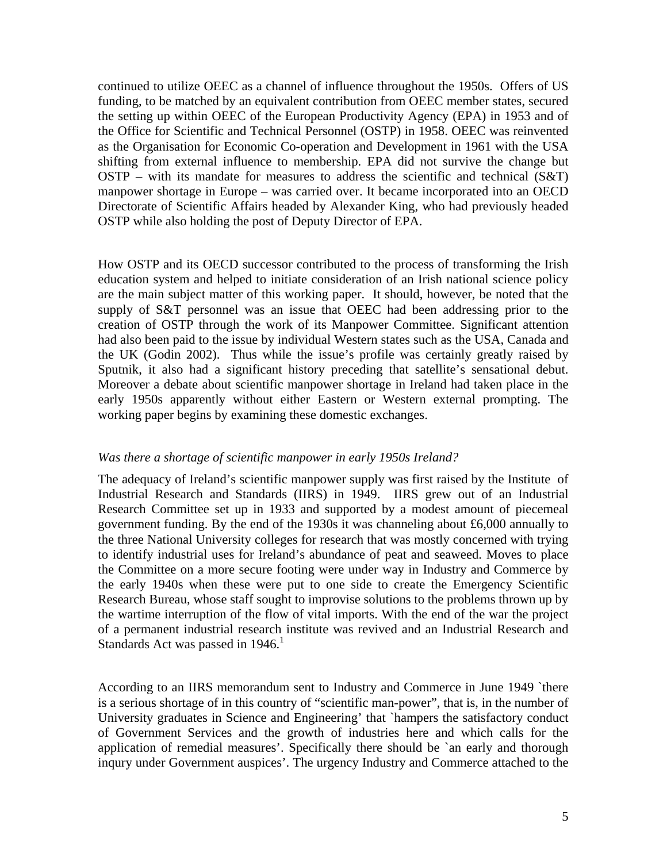continued to utilize OEEC as a channel of influence throughout the 1950s. Offers of US funding, to be matched by an equivalent contribution from OEEC member states, secured the setting up within OEEC of the European Productivity Agency (EPA) in 1953 and of the Office for Scientific and Technical Personnel (OSTP) in 1958. OEEC was reinvented as the Organisation for Economic Co-operation and Development in 1961 with the USA shifting from external influence to membership. EPA did not survive the change but OSTP – with its mandate for measures to address the scientific and technical  $(S&T)$ manpower shortage in Europe – was carried over. It became incorporated into an OECD Directorate of Scientific Affairs headed by Alexander King, who had previously headed OSTP while also holding the post of Deputy Director of EPA.

How OSTP and its OECD successor contributed to the process of transforming the Irish education system and helped to initiate consideration of an Irish national science policy are the main subject matter of this working paper. It should, however, be noted that the supply of S&T personnel was an issue that OEEC had been addressing prior to the creation of OSTP through the work of its Manpower Committee. Significant attention had also been paid to the issue by individual Western states such as the USA, Canada and the UK (Godin 2002). Thus while the issue's profile was certainly greatly raised by Sputnik, it also had a significant history preceding that satellite's sensational debut. Moreover a debate about scientific manpower shortage in Ireland had taken place in the early 1950s apparently without either Eastern or Western external prompting. The working paper begins by examining these domestic exchanges.

### *Was there a shortage of scientific manpower in early 1950s Ireland?*

The adequacy of Ireland's scientific manpower supply was first raised by the Institute of Industrial Research and Standards (IIRS) in 1949. IIRS grew out of an Industrial Research Committee set up in 1933 and supported by a modest amount of piecemeal government funding. By the end of the 1930s it was channeling about £6,000 annually to the three National University colleges for research that was mostly concerned with trying to identify industrial uses for Ireland's abundance of peat and seaweed. Moves to place the Committee on a more secure footing were under way in Industry and Commerce by the early 1940s when these were put to one side to create the Emergency Scientific Research Bureau, whose staff sought to improvise solutions to the problems thrown up by the wartime interruption of the flow of vital imports. With the end of the war the project of a permanent industrial research institute was revived and an Industrial Research and Standards Act was passed in  $1946$ <sup>1</sup>

According to an IIRS memorandum sent to Industry and Commerce in June 1949 `there is a serious shortage of in this country of "scientific man-power", that is, in the number of University graduates in Science and Engineering' that `hampers the satisfactory conduct of Government Services and the growth of industries here and which calls for the application of remedial measures'. Specifically there should be 'an early and thorough inqury under Government auspices'. The urgency Industry and Commerce attached to the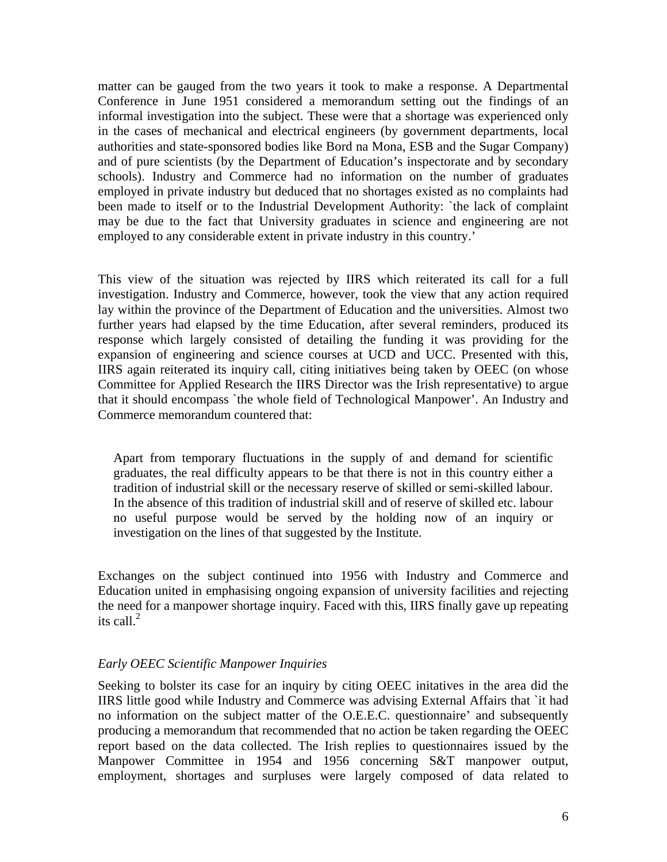matter can be gauged from the two years it took to make a response. A Departmental Conference in June 1951 considered a memorandum setting out the findings of an informal investigation into the subject. These were that a shortage was experienced only in the cases of mechanical and electrical engineers (by government departments, local authorities and state-sponsored bodies like Bord na Mona, ESB and the Sugar Company) and of pure scientists (by the Department of Education's inspectorate and by secondary schools). Industry and Commerce had no information on the number of graduates employed in private industry but deduced that no shortages existed as no complaints had been made to itself or to the Industrial Development Authority: `the lack of complaint may be due to the fact that University graduates in science and engineering are not employed to any considerable extent in private industry in this country.'

This view of the situation was rejected by IIRS which reiterated its call for a full investigation. Industry and Commerce, however, took the view that any action required lay within the province of the Department of Education and the universities. Almost two further years had elapsed by the time Education, after several reminders, produced its response which largely consisted of detailing the funding it was providing for the expansion of engineering and science courses at UCD and UCC. Presented with this, IIRS again reiterated its inquiry call, citing initiatives being taken by OEEC (on whose Committee for Applied Research the IIRS Director was the Irish representative) to argue that it should encompass `the whole field of Technological Manpower'. An Industry and Commerce memorandum countered that:

Apart from temporary fluctuations in the supply of and demand for scientific graduates, the real difficulty appears to be that there is not in this country either a tradition of industrial skill or the necessary reserve of skilled or semi-skilled labour. In the absence of this tradition of industrial skill and of reserve of skilled etc. labour no useful purpose would be served by the holding now of an inquiry or investigation on the lines of that suggested by the Institute.

Exchanges on the subject continued into 1956 with Industry and Commerce and Education united in emphasising ongoing expansion of university facilities and rejecting the need for a manpower shortage inquiry. Faced with this, IIRS finally gave up repeating its call. $2$ 

### *Early OEEC Scientific Manpower Inquiries*

Seeking to bolster its case for an inquiry by citing OEEC initatives in the area did the IIRS little good while Industry and Commerce was advising External Affairs that `it had no information on the subject matter of the O.E.E.C. questionnaire' and subsequently producing a memorandum that recommended that no action be taken regarding the OEEC report based on the data collected. The Irish replies to questionnaires issued by the Manpower Committee in 1954 and 1956 concerning S&T manpower output, employment, shortages and surpluses were largely composed of data related to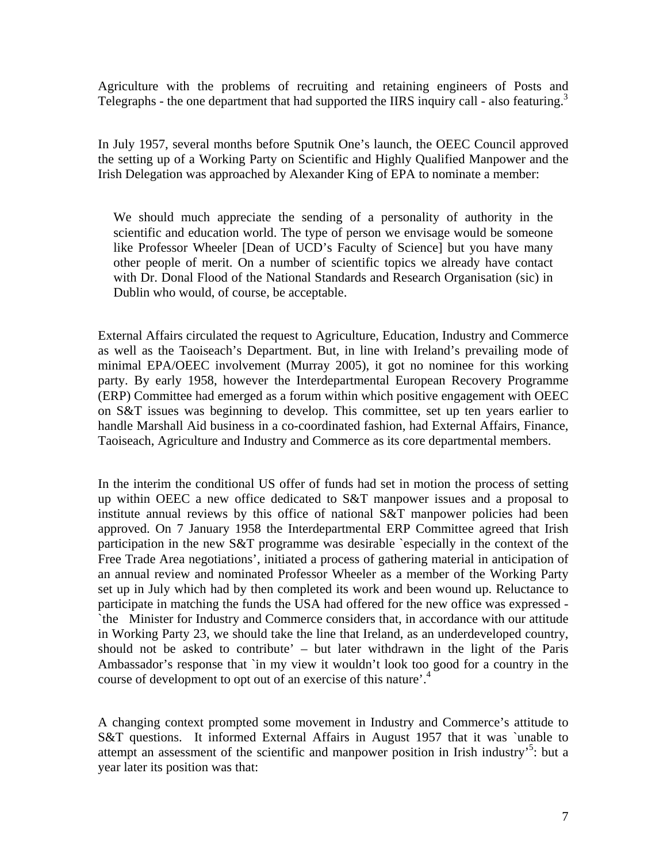Agriculture with the problems of recruiting and retaining engineers of Posts and Telegraphs - the one department that had supported the IIRS inquiry call - also featuring.<sup>3</sup>

In July 1957, several months before Sputnik One's launch, the OEEC Council approved the setting up of a Working Party on Scientific and Highly Qualified Manpower and the Irish Delegation was approached by Alexander King of EPA to nominate a member:

We should much appreciate the sending of a personality of authority in the scientific and education world. The type of person we envisage would be someone like Professor Wheeler [Dean of UCD's Faculty of Science] but you have many other people of merit. On a number of scientific topics we already have contact with Dr. Donal Flood of the National Standards and Research Organisation (sic) in Dublin who would, of course, be acceptable.

External Affairs circulated the request to Agriculture, Education, Industry and Commerce as well as the Taoiseach's Department. But, in line with Ireland's prevailing mode of minimal EPA/OEEC involvement (Murray 2005), it got no nominee for this working party. By early 1958, however the Interdepartmental European Recovery Programme (ERP) Committee had emerged as a forum within which positive engagement with OEEC on S&T issues was beginning to develop. This committee, set up ten years earlier to handle Marshall Aid business in a co-coordinated fashion, had External Affairs, Finance, Taoiseach, Agriculture and Industry and Commerce as its core departmental members.

In the interim the conditional US offer of funds had set in motion the process of setting up within OEEC a new office dedicated to S&T manpower issues and a proposal to institute annual reviews by this office of national S&T manpower policies had been approved. On 7 January 1958 the Interdepartmental ERP Committee agreed that Irish participation in the new S&T programme was desirable `especially in the context of the Free Trade Area negotiations', initiated a process of gathering material in anticipation of an annual review and nominated Professor Wheeler as a member of the Working Party set up in July which had by then completed its work and been wound up. Reluctance to participate in matching the funds the USA had offered for the new office was expressed - `the Minister for Industry and Commerce considers that, in accordance with our attitude in Working Party 23, we should take the line that Ireland, as an underdeveloped country, should not be asked to contribute' – but later withdrawn in the light of the Paris Ambassador's response that `in my view it wouldn't look too good for a country in the course of development to opt out of an exercise of this nature'.<sup>4</sup>

A changing context prompted some movement in Industry and Commerce's attitude to S&T questions. It informed External Affairs in August 1957 that it was `unable to attempt an assessment of the scientific and manpower position in Irish industry<sup>5</sup>: but a year later its position was that: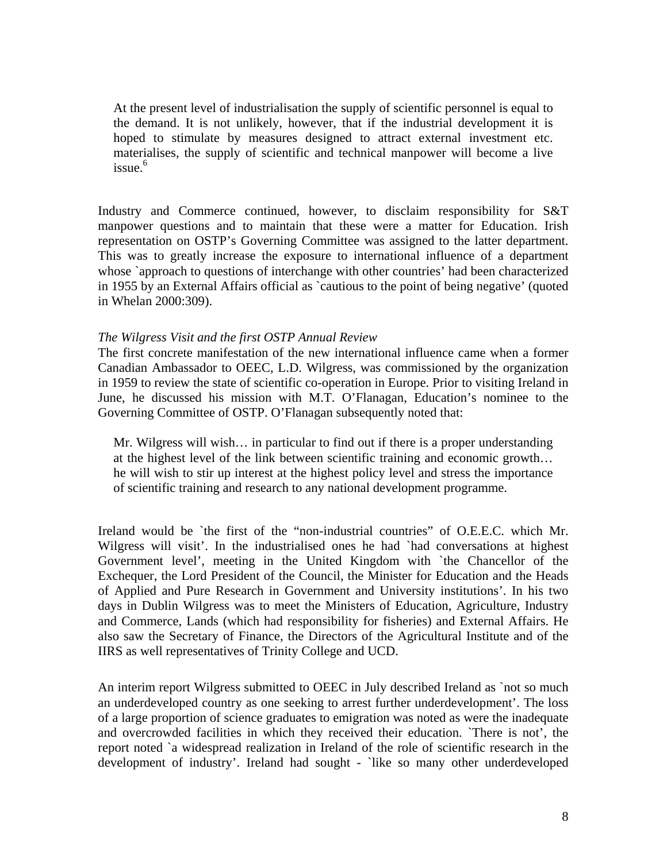At the present level of industrialisation the supply of scientific personnel is equal to the demand. It is not unlikely, however, that if the industrial development it is hoped to stimulate by measures designed to attract external investment etc. materialises, the supply of scientific and technical manpower will become a live  $i$ ssue. $6$ 

Industry and Commerce continued, however, to disclaim responsibility for S&T manpower questions and to maintain that these were a matter for Education. Irish representation on OSTP's Governing Committee was assigned to the latter department. This was to greatly increase the exposure to international influence of a department whose `approach to questions of interchange with other countries' had been characterized in 1955 by an External Affairs official as `cautious to the point of being negative' (quoted in Whelan 2000:309).

#### *The Wilgress Visit and the first OSTP Annual Review*

The first concrete manifestation of the new international influence came when a former Canadian Ambassador to OEEC, L.D. Wilgress, was commissioned by the organization in 1959 to review the state of scientific co-operation in Europe. Prior to visiting Ireland in June, he discussed his mission with M.T. O'Flanagan, Education's nominee to the Governing Committee of OSTP. O'Flanagan subsequently noted that:

Mr. Wilgress will wish… in particular to find out if there is a proper understanding at the highest level of the link between scientific training and economic growth… he will wish to stir up interest at the highest policy level and stress the importance of scientific training and research to any national development programme.

Ireland would be `the first of the "non-industrial countries" of O.E.E.C. which Mr. Wilgress will visit'. In the industrialised ones he had `had conversations at highest Government level', meeting in the United Kingdom with `the Chancellor of the Exchequer, the Lord President of the Council, the Minister for Education and the Heads of Applied and Pure Research in Government and University institutions'. In his two days in Dublin Wilgress was to meet the Ministers of Education, Agriculture, Industry and Commerce, Lands (which had responsibility for fisheries) and External Affairs. He also saw the Secretary of Finance, the Directors of the Agricultural Institute and of the IIRS as well representatives of Trinity College and UCD.

An interim report Wilgress submitted to OEEC in July described Ireland as `not so much an underdeveloped country as one seeking to arrest further underdevelopment'. The loss of a large proportion of science graduates to emigration was noted as were the inadequate and overcrowded facilities in which they received their education. `There is not', the report noted `a widespread realization in Ireland of the role of scientific research in the development of industry'. Ireland had sought - `like so many other underdeveloped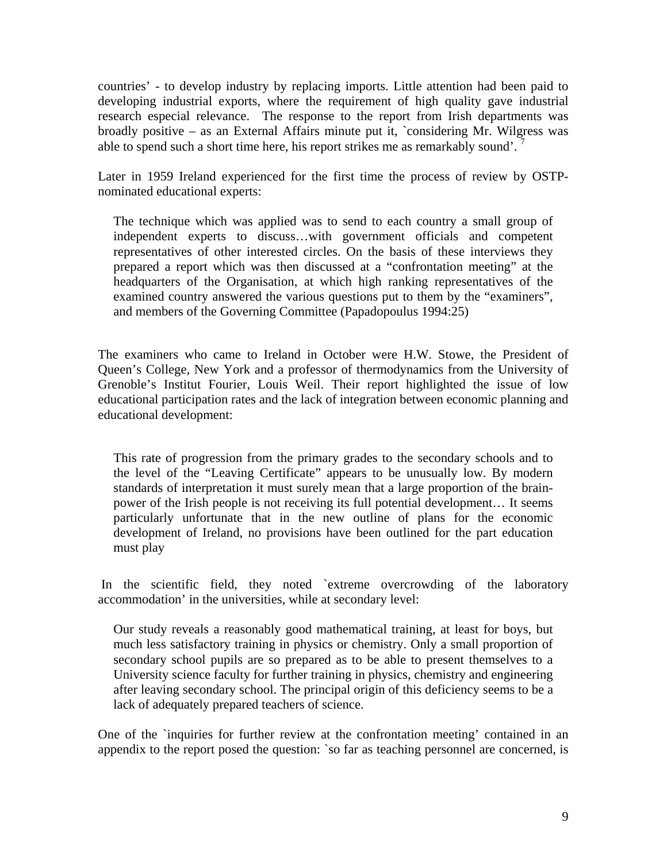countries' - to develop industry by replacing imports. Little attention had been paid to developing industrial exports, where the requirement of high quality gave industrial research especial relevance. The response to the report from Irish departments was broadly positive – as an External Affairs minute put it, `considering Mr. Wilgress was able to spend such a short time here, his report strikes me as remarkably sound'.<sup>7</sup>

Later in 1959 Ireland experienced for the first time the process of review by OSTPnominated educational experts:

The technique which was applied was to send to each country a small group of independent experts to discuss…with government officials and competent representatives of other interested circles. On the basis of these interviews they prepared a report which was then discussed at a "confrontation meeting" at the headquarters of the Organisation, at which high ranking representatives of the examined country answered the various questions put to them by the "examiners", and members of the Governing Committee (Papadopoulus 1994:25)

The examiners who came to Ireland in October were H.W. Stowe, the President of Queen's College, New York and a professor of thermodynamics from the University of Grenoble's Institut Fourier, Louis Weil. Their report highlighted the issue of low educational participation rates and the lack of integration between economic planning and educational development:

This rate of progression from the primary grades to the secondary schools and to the level of the "Leaving Certificate" appears to be unusually low. By modern standards of interpretation it must surely mean that a large proportion of the brainpower of the Irish people is not receiving its full potential development… It seems particularly unfortunate that in the new outline of plans for the economic development of Ireland, no provisions have been outlined for the part education must play

In the scientific field, they noted `extreme overcrowding of the laboratory accommodation' in the universities, while at secondary level:

Our study reveals a reasonably good mathematical training, at least for boys, but much less satisfactory training in physics or chemistry. Only a small proportion of secondary school pupils are so prepared as to be able to present themselves to a University science faculty for further training in physics, chemistry and engineering after leaving secondary school. The principal origin of this deficiency seems to be a lack of adequately prepared teachers of science.

One of the `inquiries for further review at the confrontation meeting' contained in an appendix to the report posed the question: `so far as teaching personnel are concerned, is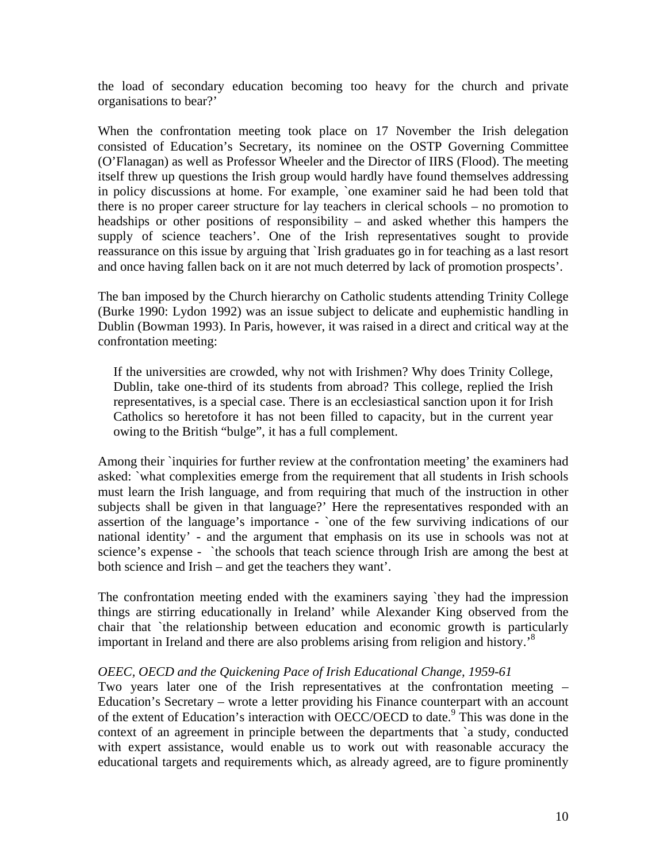the load of secondary education becoming too heavy for the church and private organisations to bear?'

When the confrontation meeting took place on 17 November the Irish delegation consisted of Education's Secretary, its nominee on the OSTP Governing Committee (O'Flanagan) as well as Professor Wheeler and the Director of IIRS (Flood). The meeting itself threw up questions the Irish group would hardly have found themselves addressing in policy discussions at home. For example, `one examiner said he had been told that there is no proper career structure for lay teachers in clerical schools – no promotion to headships or other positions of responsibility – and asked whether this hampers the supply of science teachers'. One of the Irish representatives sought to provide reassurance on this issue by arguing that `Irish graduates go in for teaching as a last resort and once having fallen back on it are not much deterred by lack of promotion prospects'.

The ban imposed by the Church hierarchy on Catholic students attending Trinity College (Burke 1990: Lydon 1992) was an issue subject to delicate and euphemistic handling in Dublin (Bowman 1993). In Paris, however, it was raised in a direct and critical way at the confrontation meeting:

If the universities are crowded, why not with Irishmen? Why does Trinity College, Dublin, take one-third of its students from abroad? This college, replied the Irish representatives, is a special case. There is an ecclesiastical sanction upon it for Irish Catholics so heretofore it has not been filled to capacity, but in the current year owing to the British "bulge", it has a full complement.

Among their `inquiries for further review at the confrontation meeting' the examiners had asked: `what complexities emerge from the requirement that all students in Irish schools must learn the Irish language, and from requiring that much of the instruction in other subjects shall be given in that language?' Here the representatives responded with an assertion of the language's importance - `one of the few surviving indications of our national identity' - and the argument that emphasis on its use in schools was not at science's expense - `the schools that teach science through Irish are among the best at both science and Irish – and get the teachers they want'.

The confrontation meeting ended with the examiners saying `they had the impression things are stirring educationally in Ireland' while Alexander King observed from the chair that `the relationship between education and economic growth is particularly important in Ireland and there are also problems arising from religion and history.<sup>8</sup>

### *OEEC, OECD and the Quickening Pace of Irish Educational Change, 1959-61*

Two years later one of the Irish representatives at the confrontation meeting – Education's Secretary – wrote a letter providing his Finance counterpart with an account of the extent of Education's interaction with OECC/OECD to date.<sup>9</sup> This was done in the context of an agreement in principle between the departments that `a study, conducted with expert assistance, would enable us to work out with reasonable accuracy the educational targets and requirements which, as already agreed, are to figure prominently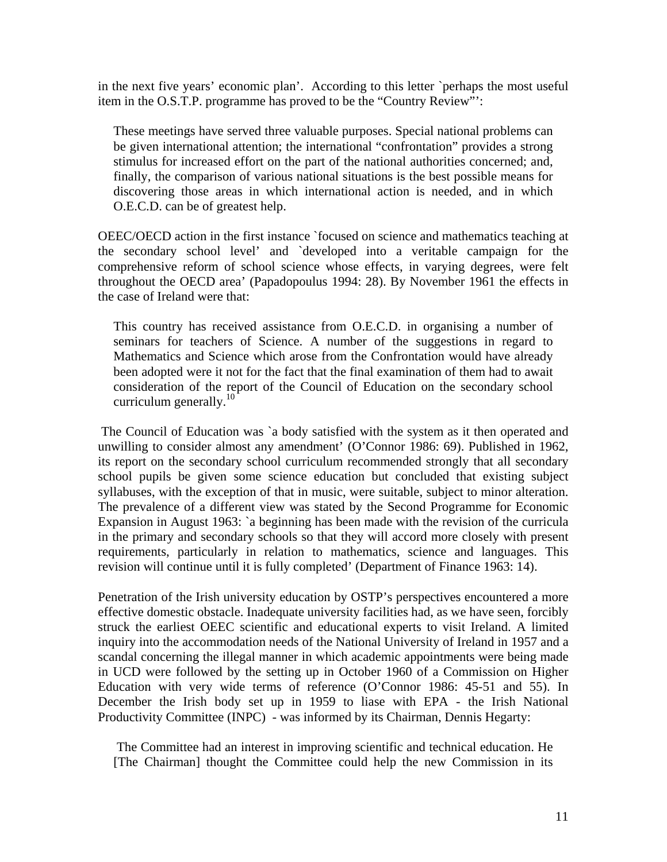in the next five years' economic plan'. According to this letter `perhaps the most useful item in the O.S.T.P. programme has proved to be the "Country Review"':

These meetings have served three valuable purposes. Special national problems can be given international attention; the international "confrontation" provides a strong stimulus for increased effort on the part of the national authorities concerned; and, finally, the comparison of various national situations is the best possible means for discovering those areas in which international action is needed, and in which O.E.C.D. can be of greatest help.

OEEC/OECD action in the first instance `focused on science and mathematics teaching at the secondary school level' and `developed into a veritable campaign for the comprehensive reform of school science whose effects, in varying degrees, were felt throughout the OECD area' (Papadopoulus 1994: 28). By November 1961 the effects in the case of Ireland were that:

This country has received assistance from O.E.C.D. in organising a number of seminars for teachers of Science. A number of the suggestions in regard to Mathematics and Science which arose from the Confrontation would have already been adopted were it not for the fact that the final examination of them had to await consideration of the report of the Council of Education on the secondary school curriculum generally. $^{10}$ 

 The Council of Education was `a body satisfied with the system as it then operated and unwilling to consider almost any amendment' (O'Connor 1986: 69). Published in 1962, its report on the secondary school curriculum recommended strongly that all secondary school pupils be given some science education but concluded that existing subject syllabuses, with the exception of that in music, were suitable, subject to minor alteration. The prevalence of a different view was stated by the Second Programme for Economic Expansion in August 1963: `a beginning has been made with the revision of the curricula in the primary and secondary schools so that they will accord more closely with present requirements, particularly in relation to mathematics, science and languages. This revision will continue until it is fully completed' (Department of Finance 1963: 14).

Penetration of the Irish university education by OSTP's perspectives encountered a more effective domestic obstacle. Inadequate university facilities had, as we have seen, forcibly struck the earliest OEEC scientific and educational experts to visit Ireland. A limited inquiry into the accommodation needs of the National University of Ireland in 1957 and a scandal concerning the illegal manner in which academic appointments were being made in UCD were followed by the setting up in October 1960 of a Commission on Higher Education with very wide terms of reference (O'Connor 1986: 45-51 and 55). In December the Irish body set up in 1959 to liase with EPA - the Irish National Productivity Committee (INPC) - was informed by its Chairman, Dennis Hegarty:

 The Committee had an interest in improving scientific and technical education. He [The Chairman] thought the Committee could help the new Commission in its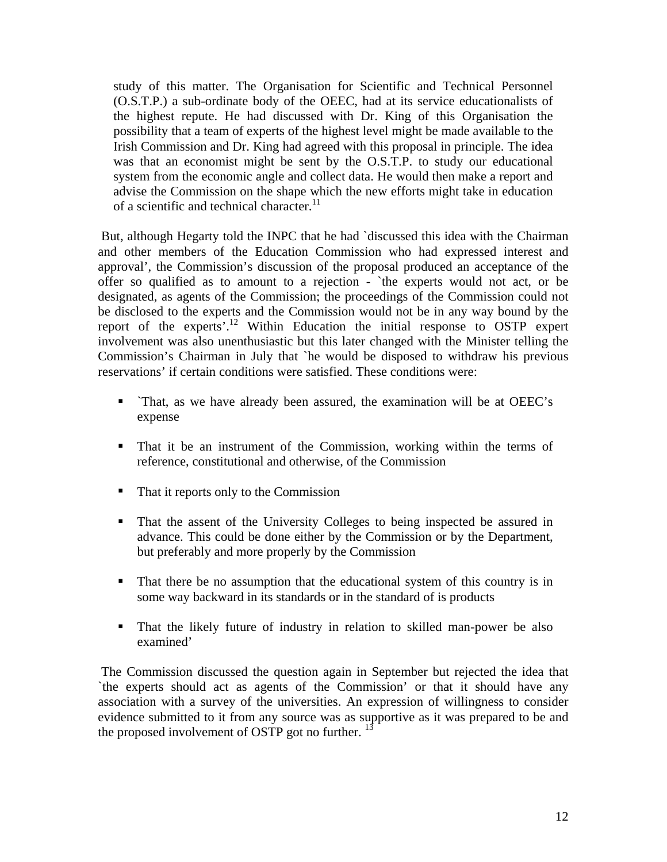study of this matter. The Organisation for Scientific and Technical Personnel (O.S.T.P.) a sub-ordinate body of the OEEC, had at its service educationalists of the highest repute. He had discussed with Dr. King of this Organisation the possibility that a team of experts of the highest level might be made available to the Irish Commission and Dr. King had agreed with this proposal in principle. The idea was that an economist might be sent by the O.S.T.P. to study our educational system from the economic angle and collect data. He would then make a report and advise the Commission on the shape which the new efforts might take in education of a scientific and technical character.<sup>11</sup>

 But, although Hegarty told the INPC that he had `discussed this idea with the Chairman and other members of the Education Commission who had expressed interest and approval', the Commission's discussion of the proposal produced an acceptance of the offer so qualified as to amount to a rejection - `the experts would not act, or be designated, as agents of the Commission; the proceedings of the Commission could not be disclosed to the experts and the Commission would not be in any way bound by the report of the experts'.12 Within Education the initial response to OSTP expert involvement was also unenthusiastic but this later changed with the Minister telling the Commission's Chairman in July that `he would be disposed to withdraw his previous reservations' if certain conditions were satisfied. These conditions were:

- `That, as we have already been assured, the examination will be at OEEC's expense
- That it be an instrument of the Commission, working within the terms of reference, constitutional and otherwise, of the Commission
- That it reports only to the Commission
- That the assent of the University Colleges to being inspected be assured in advance. This could be done either by the Commission or by the Department, but preferably and more properly by the Commission
- That there be no assumption that the educational system of this country is in some way backward in its standards or in the standard of is products
- That the likely future of industry in relation to skilled man-power be also examined'

 The Commission discussed the question again in September but rejected the idea that `the experts should act as agents of the Commission' or that it should have any association with a survey of the universities. An expression of willingness to consider evidence submitted to it from any source was as supportive as it was prepared to be and the proposed involvement of OSTP got no further.  $^{13}$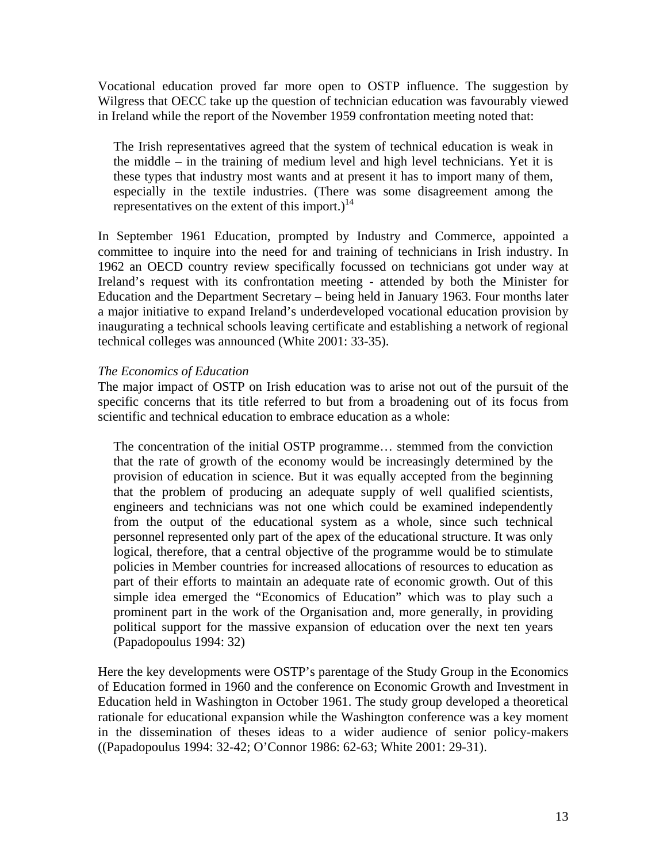Vocational education proved far more open to OSTP influence. The suggestion by Wilgress that OECC take up the question of technician education was favourably viewed in Ireland while the report of the November 1959 confrontation meeting noted that:

The Irish representatives agreed that the system of technical education is weak in the middle – in the training of medium level and high level technicians. Yet it is these types that industry most wants and at present it has to import many of them, especially in the textile industries. (There was some disagreement among the representatives on the extent of this import.)<sup>14</sup>

In September 1961 Education, prompted by Industry and Commerce, appointed a committee to inquire into the need for and training of technicians in Irish industry. In 1962 an OECD country review specifically focussed on technicians got under way at Ireland's request with its confrontation meeting - attended by both the Minister for Education and the Department Secretary – being held in January 1963. Four months later a major initiative to expand Ireland's underdeveloped vocational education provision by inaugurating a technical schools leaving certificate and establishing a network of regional technical colleges was announced (White 2001: 33-35).

### *The Economics of Education*

The major impact of OSTP on Irish education was to arise not out of the pursuit of the specific concerns that its title referred to but from a broadening out of its focus from scientific and technical education to embrace education as a whole:

The concentration of the initial OSTP programme… stemmed from the conviction that the rate of growth of the economy would be increasingly determined by the provision of education in science. But it was equally accepted from the beginning that the problem of producing an adequate supply of well qualified scientists, engineers and technicians was not one which could be examined independently from the output of the educational system as a whole, since such technical personnel represented only part of the apex of the educational structure. It was only logical, therefore, that a central objective of the programme would be to stimulate policies in Member countries for increased allocations of resources to education as part of their efforts to maintain an adequate rate of economic growth. Out of this simple idea emerged the "Economics of Education" which was to play such a prominent part in the work of the Organisation and, more generally, in providing political support for the massive expansion of education over the next ten years (Papadopoulus 1994: 32)

Here the key developments were OSTP's parentage of the Study Group in the Economics of Education formed in 1960 and the conference on Economic Growth and Investment in Education held in Washington in October 1961. The study group developed a theoretical rationale for educational expansion while the Washington conference was a key moment in the dissemination of theses ideas to a wider audience of senior policy-makers ((Papadopoulus 1994: 32-42; O'Connor 1986: 62-63; White 2001: 29-31).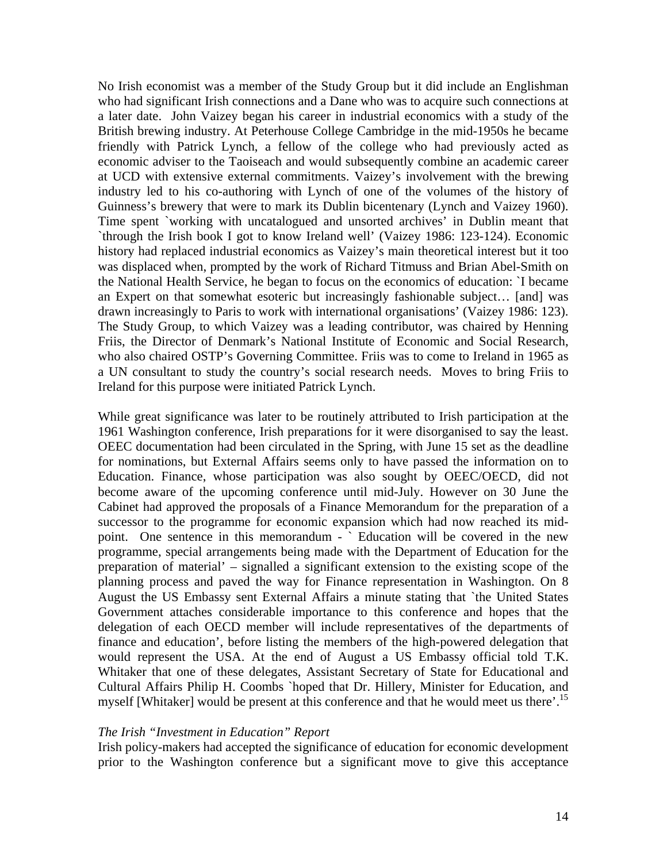No Irish economist was a member of the Study Group but it did include an Englishman who had significant Irish connections and a Dane who was to acquire such connections at a later date. John Vaizey began his career in industrial economics with a study of the British brewing industry. At Peterhouse College Cambridge in the mid-1950s he became friendly with Patrick Lynch, a fellow of the college who had previously acted as economic adviser to the Taoiseach and would subsequently combine an academic career at UCD with extensive external commitments. Vaizey's involvement with the brewing industry led to his co-authoring with Lynch of one of the volumes of the history of Guinness's brewery that were to mark its Dublin bicentenary (Lynch and Vaizey 1960). Time spent `working with uncatalogued and unsorted archives' in Dublin meant that `through the Irish book I got to know Ireland well' (Vaizey 1986: 123-124). Economic history had replaced industrial economics as Vaizey's main theoretical interest but it too was displaced when, prompted by the work of Richard Titmuss and Brian Abel-Smith on the National Health Service, he began to focus on the economics of education: `I became an Expert on that somewhat esoteric but increasingly fashionable subject… [and] was drawn increasingly to Paris to work with international organisations' (Vaizey 1986: 123). The Study Group, to which Vaizey was a leading contributor, was chaired by Henning Friis, the Director of Denmark's National Institute of Economic and Social Research, who also chaired OSTP's Governing Committee. Friis was to come to Ireland in 1965 as a UN consultant to study the country's social research needs. Moves to bring Friis to Ireland for this purpose were initiated Patrick Lynch.

While great significance was later to be routinely attributed to Irish participation at the 1961 Washington conference, Irish preparations for it were disorganised to say the least. OEEC documentation had been circulated in the Spring, with June 15 set as the deadline for nominations, but External Affairs seems only to have passed the information on to Education. Finance, whose participation was also sought by OEEC/OECD, did not become aware of the upcoming conference until mid-July. However on 30 June the Cabinet had approved the proposals of a Finance Memorandum for the preparation of a successor to the programme for economic expansion which had now reached its midpoint. One sentence in this memorandum - ` Education will be covered in the new programme, special arrangements being made with the Department of Education for the preparation of material' – signalled a significant extension to the existing scope of the planning process and paved the way for Finance representation in Washington. On 8 August the US Embassy sent External Affairs a minute stating that `the United States Government attaches considerable importance to this conference and hopes that the delegation of each OECD member will include representatives of the departments of finance and education', before listing the members of the high-powered delegation that would represent the USA. At the end of August a US Embassy official told T.K. Whitaker that one of these delegates, Assistant Secretary of State for Educational and Cultural Affairs Philip H. Coombs `hoped that Dr. Hillery, Minister for Education, and myself [Whitaker] would be present at this conference and that he would meet us there'.<sup>15</sup>

#### *The Irish "Investment in Education" Report*

Irish policy-makers had accepted the significance of education for economic development prior to the Washington conference but a significant move to give this acceptance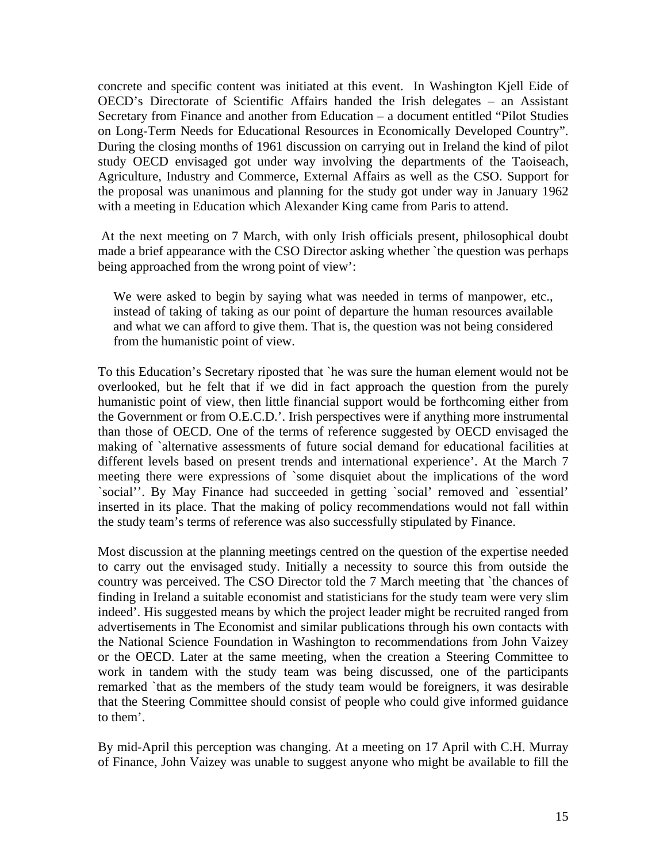concrete and specific content was initiated at this event. In Washington Kjell Eide of OECD's Directorate of Scientific Affairs handed the Irish delegates – an Assistant Secretary from Finance and another from Education – a document entitled "Pilot Studies on Long-Term Needs for Educational Resources in Economically Developed Country". During the closing months of 1961 discussion on carrying out in Ireland the kind of pilot study OECD envisaged got under way involving the departments of the Taoiseach, Agriculture, Industry and Commerce, External Affairs as well as the CSO. Support for the proposal was unanimous and planning for the study got under way in January 1962 with a meeting in Education which Alexander King came from Paris to attend.

 At the next meeting on 7 March, with only Irish officials present, philosophical doubt made a brief appearance with the CSO Director asking whether `the question was perhaps being approached from the wrong point of view':

We were asked to begin by saying what was needed in terms of manpower, etc., instead of taking of taking as our point of departure the human resources available and what we can afford to give them. That is, the question was not being considered from the humanistic point of view.

To this Education's Secretary riposted that `he was sure the human element would not be overlooked, but he felt that if we did in fact approach the question from the purely humanistic point of view, then little financial support would be forthcoming either from the Government or from O.E.C.D.'. Irish perspectives were if anything more instrumental than those of OECD. One of the terms of reference suggested by OECD envisaged the making of `alternative assessments of future social demand for educational facilities at different levels based on present trends and international experience'. At the March 7 meeting there were expressions of `some disquiet about the implications of the word `social''. By May Finance had succeeded in getting `social' removed and `essential' inserted in its place. That the making of policy recommendations would not fall within the study team's terms of reference was also successfully stipulated by Finance.

Most discussion at the planning meetings centred on the question of the expertise needed to carry out the envisaged study. Initially a necessity to source this from outside the country was perceived. The CSO Director told the 7 March meeting that `the chances of finding in Ireland a suitable economist and statisticians for the study team were very slim indeed'. His suggested means by which the project leader might be recruited ranged from advertisements in The Economist and similar publications through his own contacts with the National Science Foundation in Washington to recommendations from John Vaizey or the OECD. Later at the same meeting, when the creation a Steering Committee to work in tandem with the study team was being discussed, one of the participants remarked `that as the members of the study team would be foreigners, it was desirable that the Steering Committee should consist of people who could give informed guidance to them'.

By mid-April this perception was changing. At a meeting on 17 April with C.H. Murray of Finance, John Vaizey was unable to suggest anyone who might be available to fill the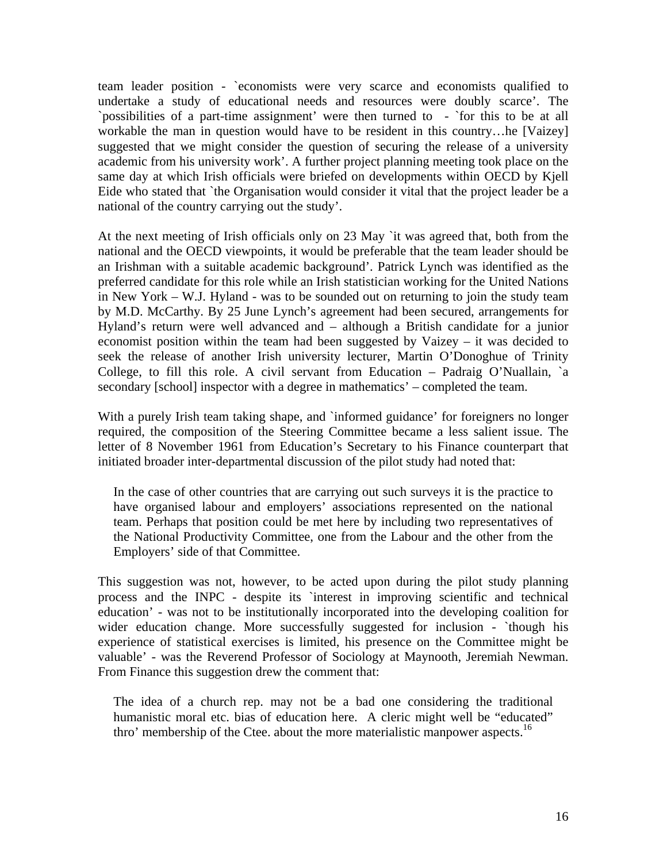team leader position - `economists were very scarce and economists qualified to undertake a study of educational needs and resources were doubly scarce'. The `possibilities of a part-time assignment' were then turned to - `for this to be at all workable the man in question would have to be resident in this country...he [Vaizey] suggested that we might consider the question of securing the release of a university academic from his university work'. A further project planning meeting took place on the same day at which Irish officials were briefed on developments within OECD by Kjell Eide who stated that `the Organisation would consider it vital that the project leader be a national of the country carrying out the study'.

At the next meeting of Irish officials only on 23 May `it was agreed that, both from the national and the OECD viewpoints, it would be preferable that the team leader should be an Irishman with a suitable academic background'. Patrick Lynch was identified as the preferred candidate for this role while an Irish statistician working for the United Nations in New York – W.J. Hyland - was to be sounded out on returning to join the study team by M.D. McCarthy. By 25 June Lynch's agreement had been secured, arrangements for Hyland's return were well advanced and – although a British candidate for a junior economist position within the team had been suggested by Vaizey – it was decided to seek the release of another Irish university lecturer, Martin O'Donoghue of Trinity College, to fill this role. A civil servant from Education – Padraig O'Nuallain, `a secondary [school] inspector with a degree in mathematics' – completed the team.

With a purely Irish team taking shape, and `informed guidance' for foreigners no longer required, the composition of the Steering Committee became a less salient issue. The letter of 8 November 1961 from Education's Secretary to his Finance counterpart that initiated broader inter-departmental discussion of the pilot study had noted that:

In the case of other countries that are carrying out such surveys it is the practice to have organised labour and employers' associations represented on the national team. Perhaps that position could be met here by including two representatives of the National Productivity Committee, one from the Labour and the other from the Employers' side of that Committee.

This suggestion was not, however, to be acted upon during the pilot study planning process and the INPC - despite its `interest in improving scientific and technical education' - was not to be institutionally incorporated into the developing coalition for wider education change. More successfully suggested for inclusion - `though his experience of statistical exercises is limited, his presence on the Committee might be valuable' - was the Reverend Professor of Sociology at Maynooth, Jeremiah Newman. From Finance this suggestion drew the comment that:

The idea of a church rep. may not be a bad one considering the traditional humanistic moral etc. bias of education here. A cleric might well be "educated" thro' membership of the Ctee, about the more materialistic manpower aspects.<sup>16</sup>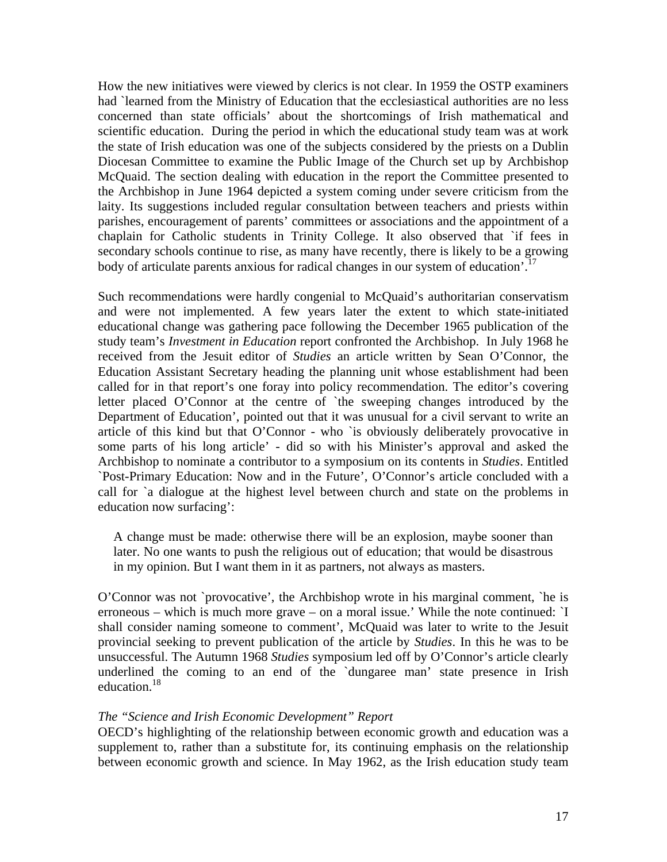How the new initiatives were viewed by clerics is not clear. In 1959 the OSTP examiners had `learned from the Ministry of Education that the ecclesiastical authorities are no less concerned than state officials' about the shortcomings of Irish mathematical and scientific education. During the period in which the educational study team was at work the state of Irish education was one of the subjects considered by the priests on a Dublin Diocesan Committee to examine the Public Image of the Church set up by Archbishop McQuaid. The section dealing with education in the report the Committee presented to the Archbishop in June 1964 depicted a system coming under severe criticism from the laity. Its suggestions included regular consultation between teachers and priests within parishes, encouragement of parents' committees or associations and the appointment of a chaplain for Catholic students in Trinity College. It also observed that `if fees in secondary schools continue to rise, as many have recently, there is likely to be a growing body of articulate parents anxious for radical changes in our system of education'.<sup>17</sup>

Such recommendations were hardly congenial to McQuaid's authoritarian conservatism and were not implemented. A few years later the extent to which state-initiated educational change was gathering pace following the December 1965 publication of the study team's *Investment in Education* report confronted the Archbishop. In July 1968 he received from the Jesuit editor of *Studies* an article written by Sean O'Connor, the Education Assistant Secretary heading the planning unit whose establishment had been called for in that report's one foray into policy recommendation. The editor's covering letter placed O'Connor at the centre of `the sweeping changes introduced by the Department of Education', pointed out that it was unusual for a civil servant to write an article of this kind but that O'Connor - who `is obviously deliberately provocative in some parts of his long article' - did so with his Minister's approval and asked the Archbishop to nominate a contributor to a symposium on its contents in *Studies*. Entitled `Post-Primary Education: Now and in the Future', O'Connor's article concluded with a call for `a dialogue at the highest level between church and state on the problems in education now surfacing':

A change must be made: otherwise there will be an explosion, maybe sooner than later. No one wants to push the religious out of education; that would be disastrous in my opinion. But I want them in it as partners, not always as masters.

O'Connor was not `provocative', the Archbishop wrote in his marginal comment, `he is erroneous – which is much more grave – on a moral issue.' While the note continued: `I shall consider naming someone to comment', McQuaid was later to write to the Jesuit provincial seeking to prevent publication of the article by *Studies*. In this he was to be unsuccessful. The Autumn 1968 *Studies* symposium led off by O'Connor's article clearly underlined the coming to an end of the `dungaree man' state presence in Irish education.18

#### *The "Science and Irish Economic Development" Report*

OECD's highlighting of the relationship between economic growth and education was a supplement to, rather than a substitute for, its continuing emphasis on the relationship between economic growth and science. In May 1962, as the Irish education study team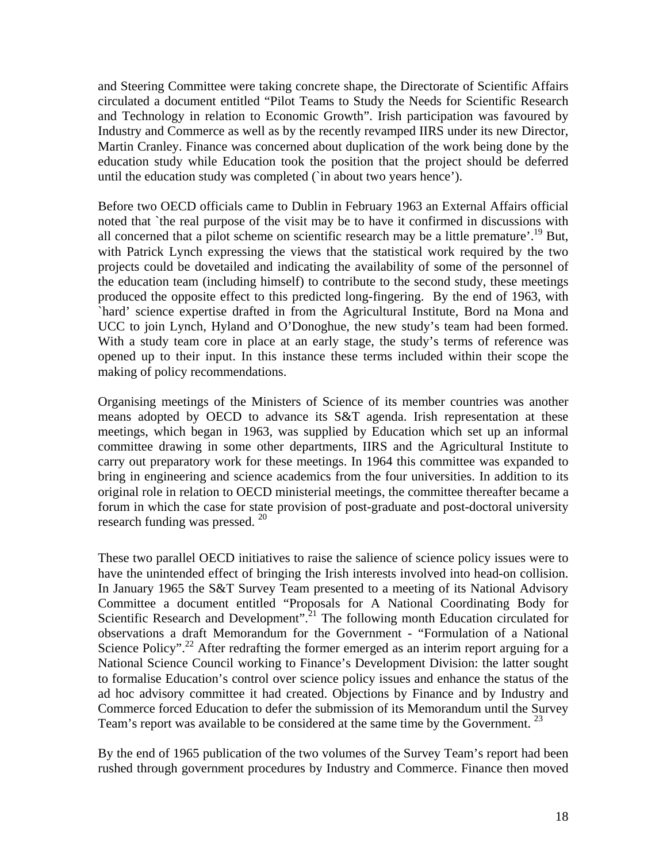and Steering Committee were taking concrete shape, the Directorate of Scientific Affairs circulated a document entitled "Pilot Teams to Study the Needs for Scientific Research and Technology in relation to Economic Growth". Irish participation was favoured by Industry and Commerce as well as by the recently revamped IIRS under its new Director, Martin Cranley. Finance was concerned about duplication of the work being done by the education study while Education took the position that the project should be deferred until the education study was completed (`in about two years hence').

Before two OECD officials came to Dublin in February 1963 an External Affairs official noted that `the real purpose of the visit may be to have it confirmed in discussions with all concerned that a pilot scheme on scientific research may be a little premature'.<sup>19</sup> But, with Patrick Lynch expressing the views that the statistical work required by the two projects could be dovetailed and indicating the availability of some of the personnel of the education team (including himself) to contribute to the second study, these meetings produced the opposite effect to this predicted long-fingering. By the end of 1963, with `hard' science expertise drafted in from the Agricultural Institute, Bord na Mona and UCC to join Lynch, Hyland and O'Donoghue, the new study's team had been formed. With a study team core in place at an early stage, the study's terms of reference was opened up to their input. In this instance these terms included within their scope the making of policy recommendations.

Organising meetings of the Ministers of Science of its member countries was another means adopted by OECD to advance its S&T agenda. Irish representation at these meetings, which began in 1963, was supplied by Education which set up an informal committee drawing in some other departments, IIRS and the Agricultural Institute to carry out preparatory work for these meetings. In 1964 this committee was expanded to bring in engineering and science academics from the four universities. In addition to its original role in relation to OECD ministerial meetings, the committee thereafter became a forum in which the case for state provision of post-graduate and post-doctoral university research funding was pressed.<sup>20</sup>

These two parallel OECD initiatives to raise the salience of science policy issues were to have the unintended effect of bringing the Irish interests involved into head-on collision. In January 1965 the S&T Survey Team presented to a meeting of its National Advisory Committee a document entitled "Proposals for A National Coordinating Body for Scientific Research and Development".<sup>21</sup> The following month Education circulated for observations a draft Memorandum for the Government - "Formulation of a National Science Policy".<sup>22</sup> After redrafting the former emerged as an interim report arguing for a National Science Council working to Finance's Development Division: the latter sought to formalise Education's control over science policy issues and enhance the status of the ad hoc advisory committee it had created. Objections by Finance and by Industry and Commerce forced Education to defer the submission of its Memorandum until the Survey Team's report was available to be considered at the same time by the Government.<sup>23</sup>

By the end of 1965 publication of the two volumes of the Survey Team's report had been rushed through government procedures by Industry and Commerce. Finance then moved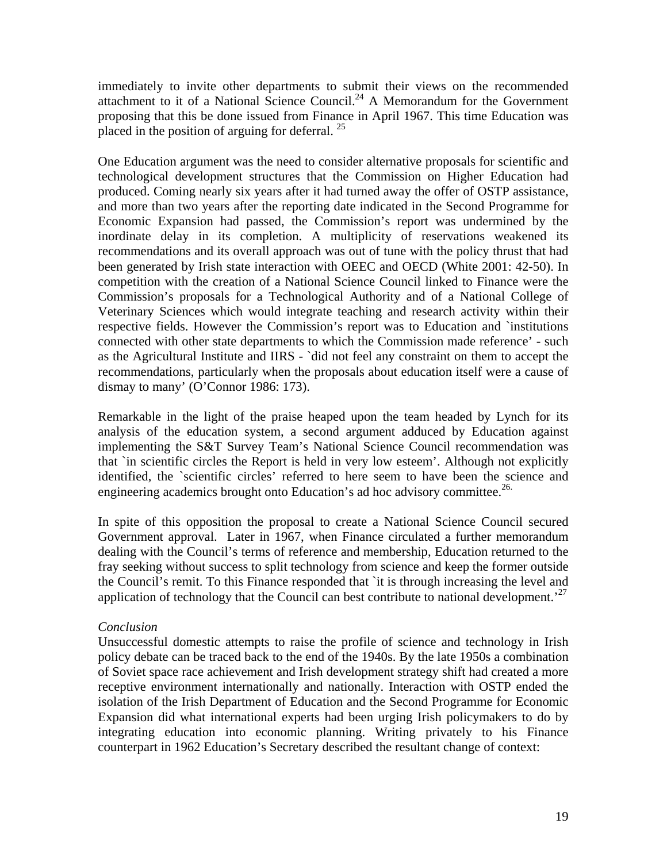immediately to invite other departments to submit their views on the recommended attachment to it of a National Science Council.<sup>24</sup> A Memorandum for the Government proposing that this be done issued from Finance in April 1967. This time Education was placed in the position of arguing for deferral.  $^{25}$ 

One Education argument was the need to consider alternative proposals for scientific and technological development structures that the Commission on Higher Education had produced. Coming nearly six years after it had turned away the offer of OSTP assistance, and more than two years after the reporting date indicated in the Second Programme for Economic Expansion had passed, the Commission's report was undermined by the inordinate delay in its completion. A multiplicity of reservations weakened its recommendations and its overall approach was out of tune with the policy thrust that had been generated by Irish state interaction with OEEC and OECD (White 2001: 42-50). In competition with the creation of a National Science Council linked to Finance were the Commission's proposals for a Technological Authority and of a National College of Veterinary Sciences which would integrate teaching and research activity within their respective fields. However the Commission's report was to Education and `institutions connected with other state departments to which the Commission made reference' - such as the Agricultural Institute and IIRS - `did not feel any constraint on them to accept the recommendations, particularly when the proposals about education itself were a cause of dismay to many' (O'Connor 1986: 173).

Remarkable in the light of the praise heaped upon the team headed by Lynch for its analysis of the education system, a second argument adduced by Education against implementing the S&T Survey Team's National Science Council recommendation was that `in scientific circles the Report is held in very low esteem'. Although not explicitly identified, the `scientific circles' referred to here seem to have been the science and engineering academics brought onto Education's ad hoc advisory committee.<sup>26.</sup>

In spite of this opposition the proposal to create a National Science Council secured Government approval. Later in 1967, when Finance circulated a further memorandum dealing with the Council's terms of reference and membership, Education returned to the fray seeking without success to split technology from science and keep the former outside the Council's remit. To this Finance responded that `it is through increasing the level and application of technology that the Council can best contribute to national development.<sup>27</sup>

### *Conclusion*

Unsuccessful domestic attempts to raise the profile of science and technology in Irish policy debate can be traced back to the end of the 1940s. By the late 1950s a combination of Soviet space race achievement and Irish development strategy shift had created a more receptive environment internationally and nationally. Interaction with OSTP ended the isolation of the Irish Department of Education and the Second Programme for Economic Expansion did what international experts had been urging Irish policymakers to do by integrating education into economic planning. Writing privately to his Finance counterpart in 1962 Education's Secretary described the resultant change of context: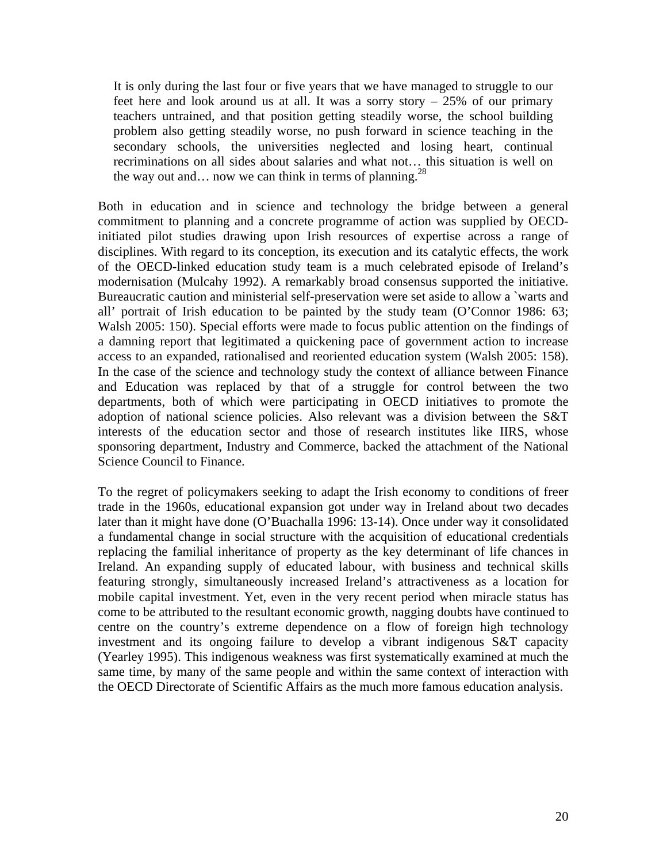It is only during the last four or five years that we have managed to struggle to our feet here and look around us at all. It was a sorry story  $-25\%$  of our primary teachers untrained, and that position getting steadily worse, the school building problem also getting steadily worse, no push forward in science teaching in the secondary schools, the universities neglected and losing heart, continual recriminations on all sides about salaries and what not… this situation is well on the way out and... now we can think in terms of planning.<sup>28</sup>

Both in education and in science and technology the bridge between a general commitment to planning and a concrete programme of action was supplied by OECDinitiated pilot studies drawing upon Irish resources of expertise across a range of disciplines. With regard to its conception, its execution and its catalytic effects, the work of the OECD-linked education study team is a much celebrated episode of Ireland's modernisation (Mulcahy 1992). A remarkably broad consensus supported the initiative. Bureaucratic caution and ministerial self-preservation were set aside to allow a `warts and all' portrait of Irish education to be painted by the study team (O'Connor 1986: 63; Walsh 2005: 150). Special efforts were made to focus public attention on the findings of a damning report that legitimated a quickening pace of government action to increase access to an expanded, rationalised and reoriented education system (Walsh 2005: 158). In the case of the science and technology study the context of alliance between Finance and Education was replaced by that of a struggle for control between the two departments, both of which were participating in OECD initiatives to promote the adoption of national science policies. Also relevant was a division between the S&T interests of the education sector and those of research institutes like IIRS, whose sponsoring department, Industry and Commerce, backed the attachment of the National Science Council to Finance.

To the regret of policymakers seeking to adapt the Irish economy to conditions of freer trade in the 1960s, educational expansion got under way in Ireland about two decades later than it might have done (O'Buachalla 1996: 13-14). Once under way it consolidated a fundamental change in social structure with the acquisition of educational credentials replacing the familial inheritance of property as the key determinant of life chances in Ireland. An expanding supply of educated labour, with business and technical skills featuring strongly, simultaneously increased Ireland's attractiveness as a location for mobile capital investment. Yet, even in the very recent period when miracle status has come to be attributed to the resultant economic growth, nagging doubts have continued to centre on the country's extreme dependence on a flow of foreign high technology investment and its ongoing failure to develop a vibrant indigenous S&T capacity (Yearley 1995). This indigenous weakness was first systematically examined at much the same time, by many of the same people and within the same context of interaction with the OECD Directorate of Scientific Affairs as the much more famous education analysis.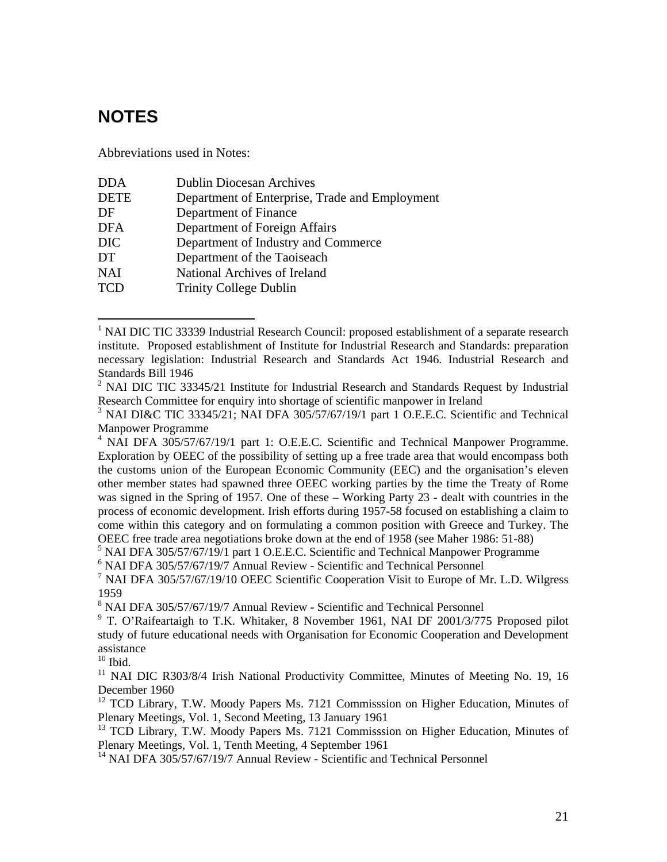# **NOTES**

 $\overline{a}$ 

Abbreviations used in Notes:

| <b>DDA</b>  | <b>Dublin Diocesan Archives</b>                |
|-------------|------------------------------------------------|
| <b>DETE</b> | Department of Enterprise, Trade and Employment |
| DF          | Department of Finance                          |
| <b>DFA</b>  | Department of Foreign Affairs                  |
| <b>DIC</b>  | Department of Industry and Commerce            |
| DT          | Department of the Taoiseach                    |
| <b>NAI</b>  | National Archives of Ireland                   |
| <b>TCD</b>  | <b>Trinity College Dublin</b>                  |

<sup>&</sup>lt;sup>1</sup> NAI DIC TIC 33339 Industrial Research Council: proposed establishment of a separate research institute. Proposed establishment of Institute for Industrial Research and Standards: preparation necessary legislation: Industrial Research and Standards Act 1946. Industrial Research and Standards Bill 1946

<sup>6</sup> NAI DFA 305/57/67/19/7 Annual Review - Scientific and Technical Personnel

<sup>8</sup> NAI DFA 305/57/67/19/7 Annual Review - Scientific and Technical Personnel

 $10$  Ibid.

Plenary Meetings, Vol. 1, Second Meeting, 13 January 1961

<sup>13</sup> TCD Library, T.W. Moody Papers Ms. 7121 Commisssion on Higher Education, Minutes of Plenary Meetings, Vol. 1, Tenth Meeting, 4 September 1961

<sup>14</sup> NAI DFA 305/57/67/19/7 Annual Review - Scientific and Technical Personnel

<sup>&</sup>lt;sup>2</sup> NAI DIC TIC 33345/21 Institute for Industrial Research and Standards Request by Industrial Research Committee for enquiry into shortage of scientific manpower in Ireland

 $3$  NAI DI&C TIC 33345/21; NAI DFA 305/57/67/19/1 part 1 O.E.E.C. Scientific and Technical Manpower Programme

<sup>&</sup>lt;sup>4</sup> NAI DFA 305/57/67/19/1 part 1: O.E.E.C. Scientific and Technical Manpower Programme. Exploration by OEEC of the possibility of setting up a free trade area that would encompass both the customs union of the European Economic Community (EEC) and the organisation's eleven other member states had spawned three OEEC working parties by the time the Treaty of Rome was signed in the Spring of 1957. One of these – Working Party 23 - dealt with countries in the process of economic development. Irish efforts during 1957-58 focused on establishing a claim to come within this category and on formulating a common position with Greece and Turkey. The OEEC free trade area negotiations broke down at the end of 1958 (see Maher 1986: 51-88)

<sup>&</sup>lt;sup>5</sup> NAI DFA 305/57/67/19/1 part 1 O.E.E.C. Scientific and Technical Manpower Programme

<sup>&</sup>lt;sup>7</sup> NAI DFA 305/57/67/19/10 OEEC Scientific Cooperation Visit to Europe of Mr. L.D. Wilgress 1959

<sup>&</sup>lt;sup>9</sup> T. O'Raifeartaigh to T.K. Whitaker, 8 November 1961, NAI DF 2001/3/775 Proposed pilot study of future educational needs with Organisation for Economic Cooperation and Development assistance

<sup>&</sup>lt;sup>11</sup> NAI DIC R303/8/4 Irish National Productivity Committee, Minutes of Meeting No. 19, 16 December 1960<br><sup>12</sup> TCD Library, T.W. Moody Papers Ms. 7121 Commisssion on Higher Education, Minutes of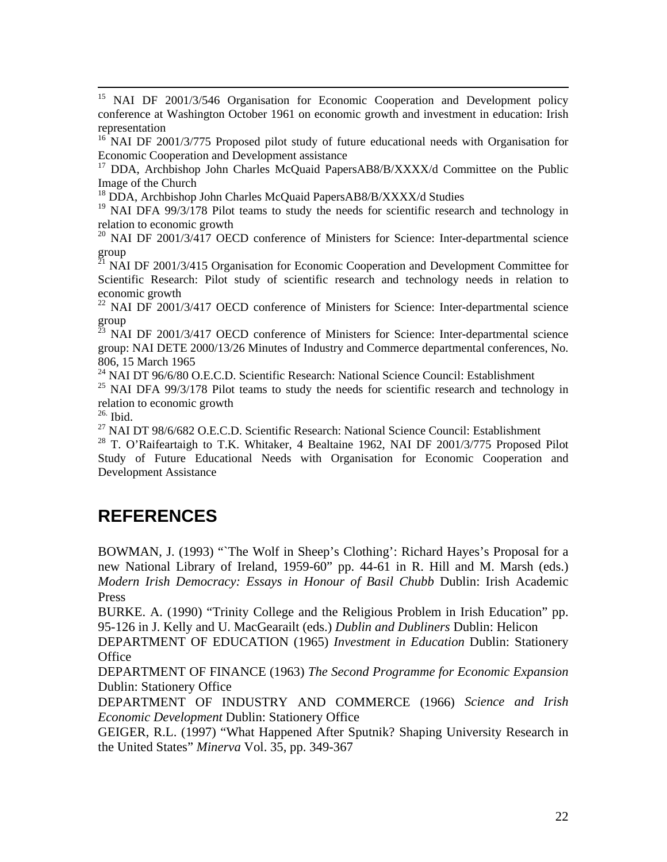<sup>15</sup> NAI DF 2001/3/546 Organisation for Economic Cooperation and Development policy conference at Washington October 1961 on economic growth and investment in education: Irish representation

<sup>16</sup> NAI DF 2001/3/775 Proposed pilot study of future educational needs with Organisation for Economic Cooperation and Development assistance

<sup>17</sup> DDA, Archbishop John Charles McQuaid PapersAB8/B/XXXX/d Committee on the Public Image of the Church

<sup>18</sup> DDA, Archbishop John Charles McQuaid PapersAB8/B/XXXX/d Studies

<sup>19</sup> NAI DFA 99/3/178 Pilot teams to study the needs for scientific research and technology in relation to economic growth

<sup>20</sup> NAI DF 2001/3/417 OECD conference of Ministers for Science: Inter-departmental science group

 $^{21}$  NAI DF 2001/3/415 Organisation for Economic Cooperation and Development Committee for Scientific Research: Pilot study of scientific research and technology needs in relation to economic growth

<sup>22</sup> NAI DF 2001/3/417 OECD conference of Ministers for Science: Inter-departmental science  $\begin{bmatrix} \text{group} \\ \text{23} \\ \text{N14} \end{bmatrix}$ 

23 NAI DF 2001/3/417 OECD conference of Ministers for Science: Inter-departmental science group: NAI DETE 2000/13/26 Minutes of Industry and Commerce departmental conferences, No. 806, 15 March 1965

 $^{24}$  NAI DT 96/6/80 O.E.C.D. Scientific Research: National Science Council: Establishment

 $25$  NAI DFA 99/3/178 Pilot teams to study the needs for scientific research and technology in relation to economic growth

 $26$ . Ibid.

<sup>27</sup> NAI DT 98/6/682 O.E.C.D. Scientific Research: National Science Council: Establishment

<sup>28</sup> T. O'Raifeartaigh to T.K. Whitaker, 4 Bealtaine 1962, NAI DF 2001/3/775 Proposed Pilot Study of Future Educational Needs with Organisation for Economic Cooperation and Development Assistance

# **REFERENCES**

BOWMAN, J. (1993) "The Wolf in Sheep's Clothing': Richard Hayes's Proposal for a new National Library of Ireland, 1959-60" pp. 44-61 in R. Hill and M. Marsh (eds.) *Modern Irish Democracy: Essays in Honour of Basil Chubb* Dublin: Irish Academic Press

BURKE. A. (1990) "Trinity College and the Religious Problem in Irish Education" pp. 95-126 in J. Kelly and U. MacGearailt (eds.) *Dublin and Dubliners* Dublin: Helicon

DEPARTMENT OF EDUCATION (1965) *Investment in Education* Dublin: Stationery **Office** 

DEPARTMENT OF FINANCE (1963) *The Second Programme for Economic Expansion* Dublin: Stationery Office

DEPARTMENT OF INDUSTRY AND COMMERCE (1966) *Science and Irish Economic Development* Dublin: Stationery Office

GEIGER, R.L. (1997) "What Happened After Sputnik? Shaping University Research in the United States" *Minerva* Vol. 35, pp. 349-367